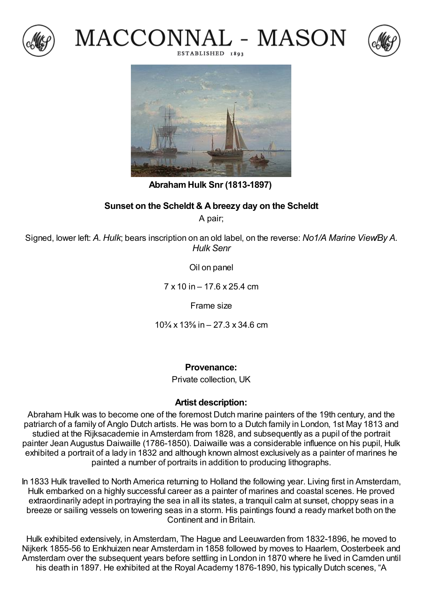







## **AbrahamHulk Snr (1813-1897)**

## **Sunset on the Scheldt & Abreezy day on the Scheldt**

A pair;

Signed, lower left: *A. Hulk*; bears inscription on an old label, on the reverse: *No1/A Marine View/By A. Hulk Senr*

Oil on panel

7 x 10 in – 17.6 x 25.4 cm

Frame size

10¾ x 13⅝ in – 27.3 x 34.6 cm

**Provenance:**

Private collection, UK

## **Artist description:**

Abraham Hulk was to become one of the foremost Dutch marine painters of the 19th century, and the patriarch of a family of Anglo Dutch artists. He was born to a Dutch family in London, 1st May 1813 and studied at the Rijksacademie in Amsterdam from 1828, and subsequently as a pupil of the portrait painter Jean Augustus Daiwaille (1786-1850). Daiwaille was a considerable influence on his pupil, Hulk exhibited a portrait of a lady in 1832 and although known almost exclusively as a painter of marines he painted a number of portraits in addition to producing lithographs.

In 1833 Hulk travelled to North America returning to Holland the following year. Living first in Amsterdam, Hulk embarked on a highly successful career as a painter of marines and coastal scenes. He proved extraordinarily adept in portraying the sea in all its states, a tranquil calm at sunset, choppy seas in a breeze or sailing vessels on towering seas in a storm. His paintings found a ready market both on the Continent and in Britain.

Hulk exhibited extensively, in Amsterdam, The Hague and Leeuwarden from 1832-1896, he moved to Nijkerk 1855-56 to Enkhuizen near Amsterdam in 1858 followed by moves to Haarlem, Oosterbeek and Amsterdam over the subsequent years before settling in London in 1870 where he lived in Camden until his death in 1897. He exhibited at the Royal Academy 1876-1890, his typically Dutch scenes, "A